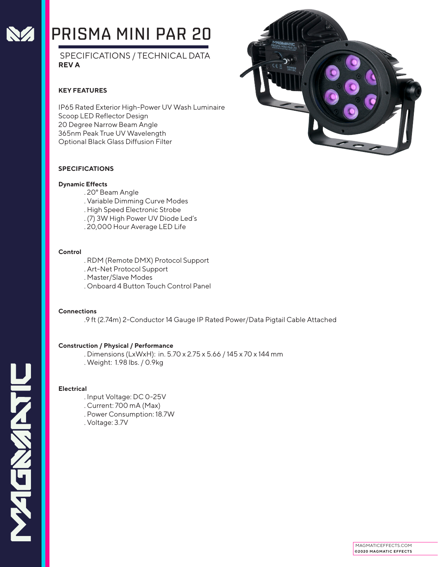

# PRISMA MINI PAR 20

 SPECIFICATIONS / TECHNICAL DATA **REV A**

### **KEY FEATURES**

IP65 Rated Exterior High-Power UV Wash Luminaire Scoop LED Reflector Design 20 Degree Narrow Beam Angle 365nm Peak True UV Wavelength Optional Black Glass Diffusion Filter



#### **SPECIFICATIONS**

#### **Dynamic Effects**

- . 20° Beam Angle
- . Variable Dimming Curve Modes
- . High Speed Electronic Strobe
- . (7) 3W High Power UV Diode Led's
- . 20,000 Hour Average LED Life

#### **Control**

- . RDM (Remote DMX) Protocol Support
- . Art-Net Protocol Support
- . Master/Slave Modes
- . Onboard 4 Button Touch Control Panel

#### **Connections**

.9 ft (2.74m) 2-Conductor 14 Gauge IP Rated Power/Data Pigtail Cable Attached

#### **Construction / Physical / Performance**

- . Dimensions (LxWxH): in. 5.70 x 2.75 x 5.66 / 145 x 70 x 144 mm
- . Weight: 1.98 lbs. / 0.9kg

#### **Electrical**

- . Input Voltage: DC 0-25V
- . Current: 700 mA (Max)
- . Power Consumption: 18.7W
- . Voltage: 3.7V